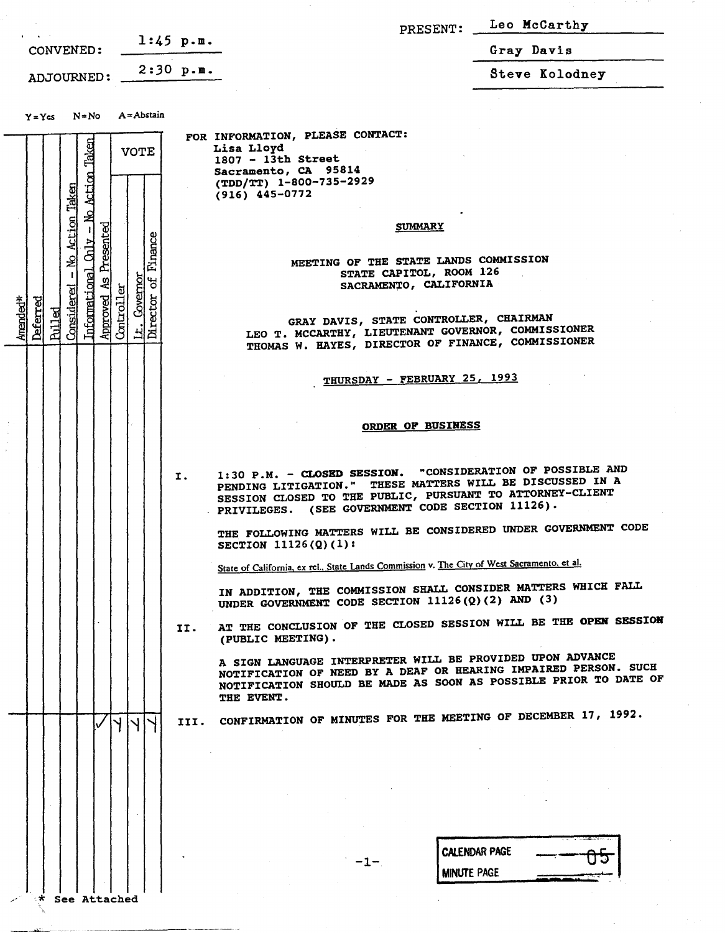|                                                                                                                                                                                                                               | PRESENT:                                                                                                                                                                                                                                                           | Leo McCarthy   |
|-------------------------------------------------------------------------------------------------------------------------------------------------------------------------------------------------------------------------------|--------------------------------------------------------------------------------------------------------------------------------------------------------------------------------------------------------------------------------------------------------------------|----------------|
| $1:45$ p.m.<br>CONVENED:                                                                                                                                                                                                      |                                                                                                                                                                                                                                                                    | Gray Davis     |
| ADJOURNED: $2:30 p.m.$                                                                                                                                                                                                        |                                                                                                                                                                                                                                                                    | Steve Kolodney |
| A = Abstain<br>$Y = Ycs$ $N = No$                                                                                                                                                                                             |                                                                                                                                                                                                                                                                    |                |
| - No Action Taken<br><b>VOTE</b>                                                                                                                                                                                              | FOR INFORMATION, PLEASE CONTACT:<br>Lisa Lloyd<br>1807 - 13th Street<br>Sacramento, CA 95814<br>(TDD/TT) 1-800-735-2929<br>$(916)$ 445-0772                                                                                                                        |                |
| Action Taken<br>Presented<br>Finance<br>$\frac{11}{2}$<br>₽<br><b>Informational</b><br>Governor<br>$\mathbf{a}$<br>ହ୍ୱ<br>Considered<br>Director<br>Approved<br>Amended*<br><b>Deferred</b><br>Controll<br><b>Pulled</b><br>ᆗ | <b>SUMMARY</b><br>MEETING OF THE STATE LANDS COMMISSION<br>STATE CAPITOL, ROOM 126<br>SACRAMENTO, CALIFORNIA<br>GRAY DAVIS, STATE CONTROLLER, CHAIRMAN<br>LEO T. MCCARTHY, LIEUTENANT GOVERNOR, COMMISSIONER<br>THOMAS W. HAYES, DIRECTOR OF FINANCE, COMMISSIONER |                |
|                                                                                                                                                                                                                               | THURSDAY - FEBRUARY 25, 1993<br><b>ORDER OF BUSINESS</b>                                                                                                                                                                                                           |                |
| Ι.                                                                                                                                                                                                                            | 1:30 P.M. - CLOSED SESSION. "CONSIDERATION OF POSSIBLE AND<br>PENDING LITIGATION." THESE MATTERS WILL BE DISCUSSED IN A<br>SESSION CLOSED TO THE PUBLIC, PURSUANT TO ATTORNEY-CLIENT<br>. PRIVILEGES. (SEE GOVERNMENT CODE SECTION $11126$ ).                      |                |
|                                                                                                                                                                                                                               | THE FOLLOWING MATTERS WILL BE CONSIDERED UNDER GOVERNMENT CODE<br>SECTION $11126(2)(1)$ :                                                                                                                                                                          |                |
|                                                                                                                                                                                                                               | State of California, ex rel., State Lands Commission v. The City of West Sacramento, et al.                                                                                                                                                                        |                |
|                                                                                                                                                                                                                               | IN ADDITION, THE COMMISSION SHALL CONSIDER MATTERS WHICH FALL<br>UNDER GOVERNMENT CODE SECTION 11126(Q)(2) AND (3)                                                                                                                                                 |                |
| п.                                                                                                                                                                                                                            | AT THE CONCLUSION OF THE CLOSED SESSION WILL BE THE OPEN SESSION<br>(PUBLIC MEETING).                                                                                                                                                                              |                |
|                                                                                                                                                                                                                               | A SIGN LANGUAGE INTERPRETER WILL BE PROVIDED UPON ADVANCE<br>NOTIFICATION OF NEED BY A DEAF OR HEARING IMPAIRED PERSON. SUCH<br>NOTIFICATION SHOULD BE MADE AS SOON AS POSSIBLE PRIOR TO DATE OF<br>THE EVENT.                                                     |                |
| $\mathsf{H}^+$<br>$\vee$<br>III.                                                                                                                                                                                              | CONFIRMATION OF MINUTES FOR THE MEETING OF DECEMBER 17, 1992.                                                                                                                                                                                                      |                |
|                                                                                                                                                                                                                               |                                                                                                                                                                                                                                                                    |                |
|                                                                                                                                                                                                                               | <b>CALENDAR PAGE</b><br>-1-<br><b>MINUTE PAGE</b>                                                                                                                                                                                                                  |                |
| See Attached                                                                                                                                                                                                                  |                                                                                                                                                                                                                                                                    |                |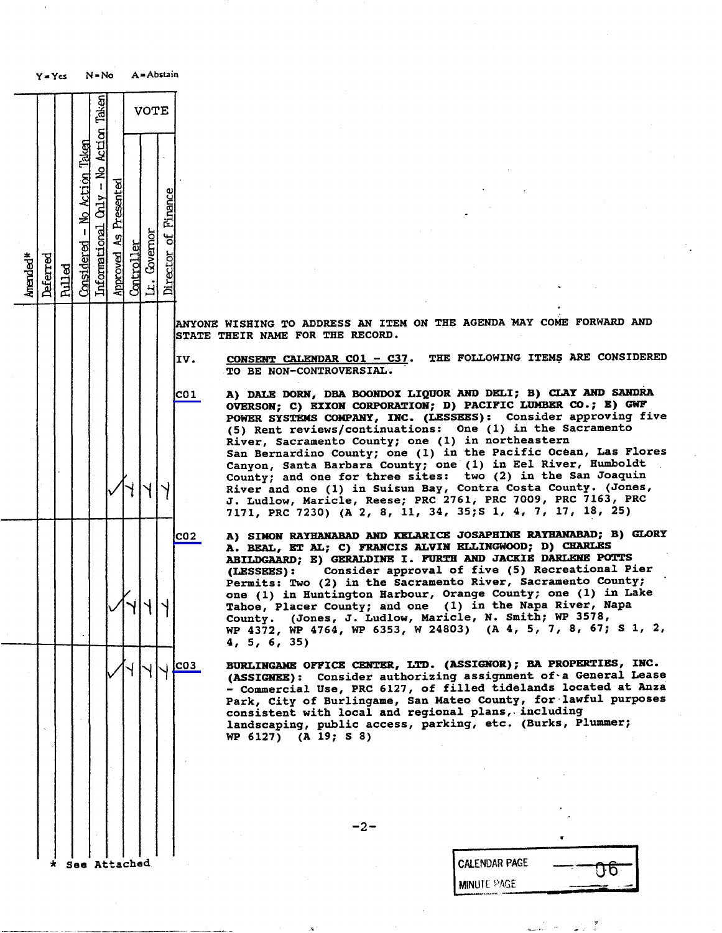|          | $Y = Ycs$ |               |                              | $N = No$                               |                       |            |              | A = Abstain         |                                                                                                                                                                                                  |
|----------|-----------|---------------|------------------------------|----------------------------------------|-----------------------|------------|--------------|---------------------|--------------------------------------------------------------------------------------------------------------------------------------------------------------------------------------------------|
|          |           |               |                              |                                        |                       |            | VOTE         |                     |                                                                                                                                                                                                  |
| Amended* | Deferred  | <b>Pulled</b> | Considered - No Action Taken | Informational $On1y - No$ Action Taken | Approved As Presented | Controller | Lt. Governor | Director of Finance |                                                                                                                                                                                                  |
|          |           |               |                              |                                        |                       |            |              |                     | <b>ANYONE</b><br>WISHING T<br>THEIR<br><b>STATE</b><br><b>NAME</b>                                                                                                                               |
|          |           |               |                              |                                        |                       |            |              |                     | IV.<br><u>CONSENT</u> C<br>$\overline{10}$<br>BE<br><b>NON</b>                                                                                                                                   |
|          |           |               |                              |                                        |                       |            |              |                     | CO <sub>1</sub><br>DALE D<br>A)<br><b>OVERSON;</b><br><b>POWER SYS</b><br>Rent<br>(5)<br>River, Sa<br>San Berna<br>Canyon,<br>S<br>County;<br>a<br>River and<br>J. Ludlow<br>7171,<br><b>PRC</b> |
|          |           |               |                              |                                        |                       |            |              |                     | CO <sub>2</sub><br>A)<br><b>SIMON</b><br>BEAL,<br>A.<br><b>ABILDGAAR</b><br>(LESSEES)<br><b>Permits:</b><br>$one(1)$ i<br>Tahoe, Pl<br>County.<br>WP 4372,<br>4, 5, 6,                           |
|          |           |               |                              |                                        |                       |            |              |                     | C03<br><b>BURLINGAM</b><br>(ASSIGNEE<br>Commerc<br>Park, Cit<br>consisten<br>landscapi<br>WP 6127)                                                                                               |
|          |           |               |                              |                                        | <b>Attached</b>       |            |              |                     |                                                                                                                                                                                                  |

 $-2-$ 

| See Attached | <b>CALENDAR PAGE</b><br><b>IN</b>                                                                               |
|--------------|-----------------------------------------------------------------------------------------------------------------|
|              | <b>MINUTE PAGE</b><br>The property design a state of a state of the contract of the contract of the contract of |

CONSENT CALENDAR CO1 - C37. THE FOLLOWING ITEMS ARE CONSIDERED TO BE NON-CONTROVERSIAL. coi A) DALE DORN, DBA BOONDOX LIQUOR AND DELI; B) CLAI AND SANDR<br>COUNTERCHALLY AND TAXON CONDONATION. B) DACIFIC ITMEED CO · R) CHE OVERSON; C) EXXON CORPORATION; D) PACIFIC LUMBER CO.; E) GWF POWER SYSTEMS COMPANY, INC. (LESSEES): Consider approving five (5) Rent reviews/continuations: One (1) in the Sacramento River, Sacramento County; one (1) in northeastern San Bernardino County; one (1) in the Pacific Ocean, Canyon, Santa Barbara County; one (1) in Eel River, Human<br>Country and one for three sites: two (2) in the San Jos County; and one for three sites: two (2) in River and one (1) in Suisun Bay, Contra Costa County.<br>County of the County of the County of the 2000 Pu J. Ludlow, Maricle, Reese; PRC 2761, PRC 7009, PRC 7163, PRC 7171, PRC 7230) (A 2, 8, 11, 34, 35; S 1, 4, 7, 17, 18, 25) A) SIMON RAYHANABAD AND KELARICE JOSAPHINE RAYHANABAD; B) GLORY A. BEAL, ET AL; C) FRANCIS ALVIN ELLINGWOOD; D) CHARLES ABILDGAARD; E) GERALDINE I. FURTH AND JACKIE DARLENE POTTS<br>(LESSEES): Consider approval of five (5) Recreational Pier

(LESSEES): Consider approval of five (5) Recreational Pierre Constants Permits: Two (2) in the Sacramento River, Sac one (1) in Huntington Harbour, Orange County; one (1) in Lake Tahoe, Placer County; and one (1) in the Napa River, Napa

County. (Jones, J. Ludlow, Maricle, N. Smith; WP 3578, WP 4372, WP 4764, WP 6353, W 24803) (A 4, 5, 7, 8, 67; S 1, 2, 4, 5, 6, 35)

BURLINGAME OFFICE CENTER, LTD. (ASSIGNOR); BA PROPERTIES, INC.<br>(ASSIGNEE): Consider authorizing assignment of a General Lease<br>- Commercial Use, PRC 6127, of filled tidelands located at Anza - Commercial Use, PRC 6127, of filled tidelands located at Analysis Park, City of Burlingame, San Mateo County, for lawful<br>consistent with local and wegional plans, including consistent with local and regional plans, including landscaping, public access, parking, etc. (Burks, Plummer; WP 6127) (A 19; \$ 8)

## ONE WISHING TO ADDRESS AN ITEM ON THE AGENDA MAY COME FORWARD AND TE THEIR NAME FOR THE RECORD.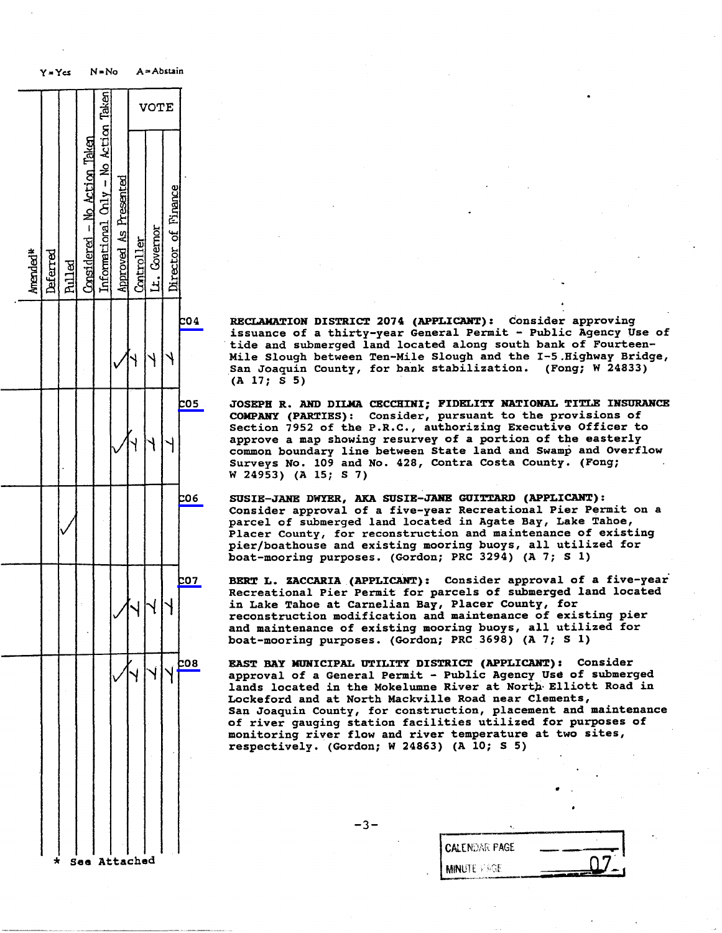|          | $Y = Ycs$ |               |                              | $N = No$                             |                       |            |              | A=Abstain           |            |                                                                                                          |             |
|----------|-----------|---------------|------------------------------|--------------------------------------|-----------------------|------------|--------------|---------------------|------------|----------------------------------------------------------------------------------------------------------|-------------|
|          |           |               |                              |                                      |                       |            | VOTE         |                     |            |                                                                                                          |             |
| Amended* | Deferred  | <b>Pulled</b> | Considered - No Action Taken | Informational Chly - No Action Taken | Approved As Presented | Controller | Lt. Covernor | Director of Finance |            |                                                                                                          |             |
|          |           |               |                              |                                      |                       |            |              |                     | c04        | <b>RECLAMATI</b><br>issuance<br>tide and<br>Mile Slou<br>San Joaqu<br>(A)<br>17;<br>$\mathbf{s}$         |             |
|          |           |               |                              |                                      |                       |            |              |                     | <b>05</b>  | <b>JOSEPH R.</b><br><b>COMPANY</b><br>Section<br>approve<br>common bo<br>Surveys<br>W 24953)             | 7<br>a<br>N |
|          |           |               |                              |                                      |                       |            |              |                     | 606        | <b>SUSIE-JAN</b><br>Consider<br>parcel of<br>Placer Co<br>pier/boat<br>boat-moor                         |             |
|          |           |               |                              |                                      |                       |            |              |                     | <b>co7</b> | <b>BERT</b><br>L.<br><b>Recreatio</b><br>in Lake T<br>reconstru<br>and maint<br>boat-moor                | Z           |
|          |           |               |                              |                                      |                       |            |              |                     | <b>08</b>  | <b>EAST BAY</b><br>approval<br>lands loc<br>Lockeford<br>San Joaqu<br>of river<br>monitorin<br>respectiv |             |
|          | $\star$   |               | See Attached                 |                                      |                       |            |              |                     |            |                                                                                                          |             |

RECLAMATION DISTRICT 2074 (APPLICANT): Consider approving issuance of a thirty-year General Permit - Public Agency Use of tide and submerged land located along south bank of Fourteen-Mile Slough between Ten-Mile Slough and the I-5 .Highway Bridge, San Joaquin County, for bank stabilization. (Fong; W 24833)  $(A 17; S 5)$ 

CO5 JOSEPH R. AND DILMA CECCHINI; FIDELITY NATIONAL TITLE INSURANCE COMPANY (PARTIES): Consider, pursuant to the provisions of Section 7952 of the P.R.C., authorizing Executive Officer to approve a map showing resurvey of a portion of the easterly approve a map showing resurvey of a portion of common boundary line between State land and Swamp and Surveys No. 109 and No. 428, Contra Costa County. (Fong; W 24953) (A 15; S 7)

CO6 SUSIE-JANE DWYER, AKA SUSIE-JANE GUITTARD (APPLICANT) : Consider approval of a five-year Recreational Pier Permit on a parcel of submerged land located in Agate Bay, Lake Tahoe, Placer County, for reconstruction and maintenance of existing pier/boathouse and existing mooring buoys, all utilized for boat-mooring purposes. (Gordon; PRC 3294) (A 7; S 1)

BERT L. ZACCARIA (APPLICANT): CONSIDER approval of a five-Recreational Pier Permit for parcels of submerged<br>located makes at Gausslies Ders Diesen Gausty fo in Lake Tahoe at Carnelian Bay, Placer County, and the County of the County of the County of the County of the reconstruction modification and maintenance of and maintenance of existing mooring buoys, all boat-mooring purposes. (Gordon; PRC 3696) (A 7

EAST BAY MUNICIPAL UTILITY DISTRICT (APPLICANT): Consider approval of a General Permit - Public Agency Use of submerged approval of a General Permit - Public Agency Use of s lands located in the Mokelumne River at North Elliotter Lockeford and at North Mackville Road near Clements, San Joaquin County, for construction, placement and maintenance of river gauging station facilities utilized for purposes of monitoring river flow and river temperature at two sites, respectively. (Gordon; W 24863) (A 10; s 5)

-3-

| <b>I CALENDAR PAGE</b> |  |
|------------------------|--|
|                        |  |
| <b>I MINUTE VAGE</b>   |  |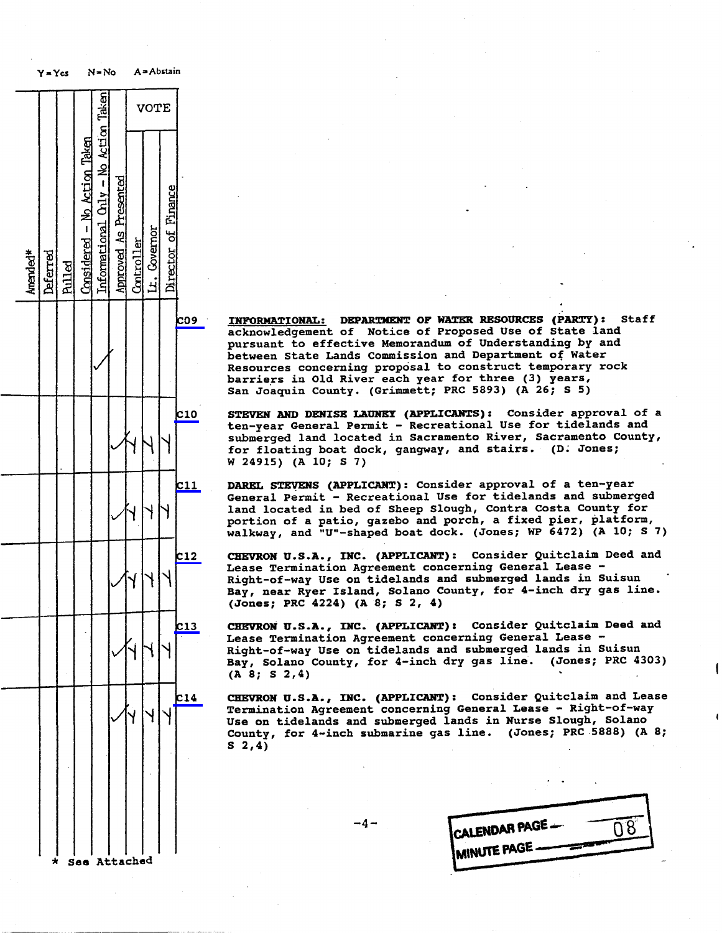

C09 INFORMATIONAL: DEPARTMENT OF WATER RESOURCES (PARTY): Staff<br>| acknowledgement of Notice of Proposed Use of State land acknowledgement of Notice of Proposed Use of Sta pursuant to effective Memorandum of Understanding<br>between State Lands Commission and Department of between State Lands Commission and Department of Water<br>Resources concerning proposal to construct temporary rock barriers in Old River each year for three (3) years, barriers in Old River each year for three<br>San Jacquin County, (Cuimpott, DPC 5993) San Joaquin County. (Grimmett; PRC 5893) (A 26

C10 STEVEN AND DENISE LAUNEY (APPLICANTS): CONSIder approval of a<br>ten reen Conomal Bounit - Becreational Hee for tidelands and ten-year General Permit - Recreational Use for submerged land located in Sacramento River, Sacramento for floating boat dock, gangway, and stairs.<br>W. 24015) (D. J. Jones; 7) W 24915) (A 10; \$ 7)

- cl1 DAREL STEVENS (APPLICANT): Consider approval of a ten-General Permit - Recreational Use for tidelands a land located in bed of Sheep Slough, Contra Costa County for the set of the set of the set of the set of the s portion of a patio, gazebo and porch, a fixed portion of a patio, gazebo and porch, a fixed walkway, and "U"-shaped boat dock. (Jones; WP 6472) (A 10; s 7)
- c12 CHEVRON U.S.A., INC. (APPLICANT): Consider Quitclaim Deed and Lease Termination Agreement concerning General Lease - Right-of-way Use on tidelands and submerged lands in Suisun Bay, near Ryer Island, Solano County, for 4-inch dry gas line. (Jones; PRC 4224) (A 8; S 2, 4)

c13 CHEVRON U.S.A., INC. (APPLICANT) : Consider Quitclaim Deed and Lease Termination Agreement concerning General Lease - Right-of-way Use on tidelands and submerged lands in Suisun Bay, Solano County, for 4-inch dry gas line. (Jones; PRC 4303) (A 8; S 2,4)

CHEVRON U.S.A., INC. (APPLICANT) : Consider Quitclaim and Lease Termination Agreement concerning General Lease - Right-of-way Use on tidelands and submerged lands in Nurse Slough, Solano County, for 4-inch submarine gas line. (Jones; PRC 5888) (A 8;  $S<sub>2,4</sub>$ 

| CALENDAR PAGE -       |  |
|-----------------------|--|
| <b>IMINUTE PAGE</b> - |  |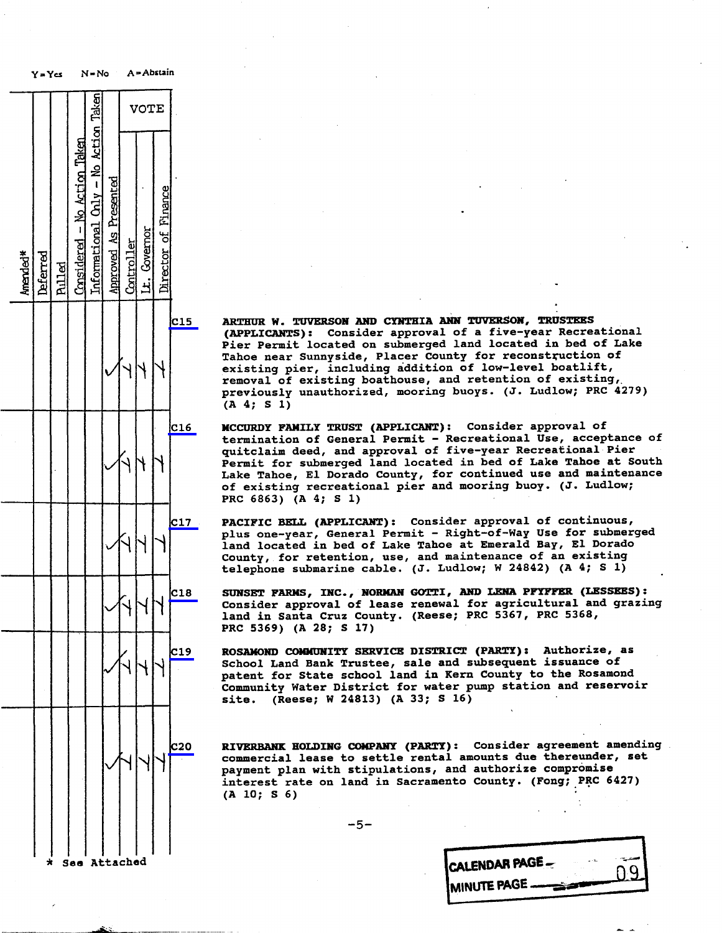

C15 ARTHUR W. TUVERSON AND CYNTHIA ANN TUVERSON, TRUSTEES (APPLICANTS): Consider approval of a five-year Recreation<br>Dieu Bermit lessted on submorged land located in hed of Pier Permit located on submerged land located in bed of Lake Tahoe near Sunnyside, Placer County for reconstruction of existing pier, including addition of low-level boatlift,<br>removal of existing boathouse, and retention of existing, removal or existing boathouse, and retention previously unauthorized, mooring buoys. (J. Ludlow; P (A 4; S 1)

- C16 MCCURDY FAMILY TRUST (APPLICANT): Consider approval of<br>termination of General Permit Recreational Use, acceptance of termination of General Permit - Recreational Use,<br>accidents acceptance of fine-more Recreati quitclaim deed, and approval of five-year Rec Permit for submerged land located in bed of Lake Ta Lake Tahoe, El Dorado County, for continued use and of existing recreational pier and mooring buoy. (J. Ludlow; PRC 6863) (A 4; S 1)
- C17 PACIFIC BELL (APPLICANT): Consider approval of continuous, approval of continuous, and the continuous, and the continuous, and the continuous section of the continuous section of the continuous section of the continuou plus one-year, General Permit - Right-of-Way Use for land located in bed of Lake Tahoe at Emerald Bay, El Dorado County, for retention, use, and maintenance of an existing telephone submarine cable. (J. Ludlow; W 24842) (A 4; s 1)

SUNSET FARMS, INC., NORMAN GOTTI, AND LEAD TEITER (LESSEES): Consider approval of lease renewal for agricultur<br>light cannot cannot control and grazing and grazing and grazing and grazing and grazing and grazing and grazin land in Santa Cruz County. (Reese; PRC 5367, PRC 5368, PRC 5369) (A 28; S 17)

ROSAMOND COMMUNITY SERVICE DISTRICT (PARTY) : Authorize, as School Land Bank Trustee, sale and subsequent issuance of patent for State school land in Kern County to the Rosamond Community Water District for water pump station and reservoir site. (Reese; W 24813) (A 33; S 16)

C20 RIVERBANK HOLDING COMPANY (PARTY): Consider agreement amending commercial lease to settle rental amounts due thereunder, set<br>payment plan with stipulations, and authorize compromise payment plan with stipulations, and authorize interest rate on land in Sacramento County. (Fong; P (A 10; S 6)

-5-

| <b>CALENDAR PAGE</b>  | 0.91 |
|-----------------------|------|
| <b>IMINUTE PAGE -</b> |      |
|                       |      |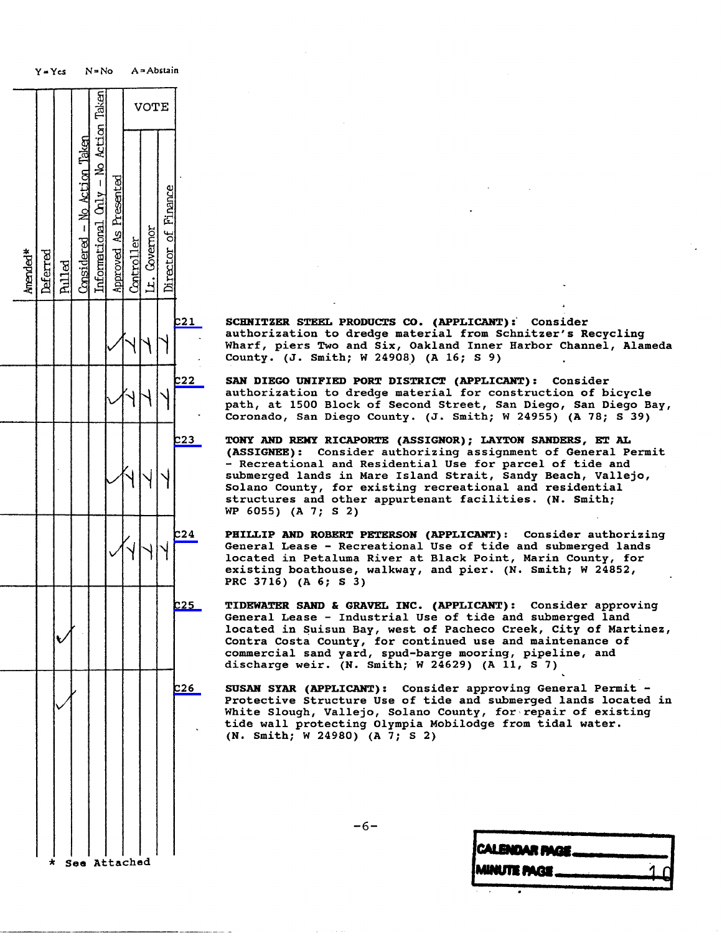Y = Yes N=No A - Abstain Taken VOTE Action  $\hat{\mathbf{z}}$  $\Gamma$ esented Finance ৰ Governor ď EAN ENO ACTION TAKEN INFORMATION CONSIDERED ASSOCIATION TO TAKE A PRESENTED AS PRESENTED CONTROLLER LT. GOVERNO  $c24$  $c_{26}$ See Attached

C21 SCHNITZER STEEL PRODUCTS CO. (APPLICANT) :' Consider authorization to dredge material from Schnitzer's Recycling Wharf, piers Two and Six, Oakland Inner Harbor Channel, Alameda County . (J. Smith; W 24908) (A 16; \$ 9)

C22 SAN DIEGO UNIFIED PORT DISTRICT (APPLICANT): Consider<br>| authorization to dredge material for construction of bicycle path, at 1500 Block of Second Street, San Diego, San Diego Bay, Coronado, San Diego County. (J. Smith; W 24955) (A 78; S 39)

C23 TONY AND REMY RICAPORTE (ASSIGNOR) ; LAYTON SANDERS, ET AL (ASSIGNEE) : Consider authorizing assignment of General Permit - Recreational and Residential Use for parcel of tide and<br>submerged lands in Mare Island Strait, Sandy Beach, Vallejo, WHY|Y|| Submerged lands in Mare Island Strait, Sandy Beach<br>Solano County, for existing recreational and residential structures and other appurtenant facilities. (N. Smith; WP 6055) (A 7; S 2)

> PHILLIP AND ROBERT PETERSON (APPLICANT) : Consider authorizing General Lease - Recreational Use of tide and submerged lands located in Petaluma River at Black Point, Marin County, for existing boathouse, walkway, and pier. (N. Smith; W 24852, PRC 3716) (A 6; S 3)

- C25 TIDEWATER SAND & GRAVEL INC. (APPLICANT): Consider approving General Lease - Industrial Use of tide and submerged land located in Suisun Bay, west of Pacheco Creek, City of Martinez, Contra Costa County, for continued use and mainter commercial sand yard, spud-barge mooring, discharge weir. (N. Smith; W 24629) (A  $11, 5$  7)
	- SUSAN SYAR (APPLICANT) : Consider approving General Permit Protective Structure Use of tide and submerged lands located in White Slough, Vallejo, Solano County, for repair of existing tide wall protecting Olympia Mobilodge from tidal water. (N. Smith; W 24980) (A 7; S 2)

| CALENDAR PAGE -------------- |             |
|------------------------------|-------------|
| MINUTE PAGE                  | $-1$ $\cap$ |
|                              |             |
|                              |             |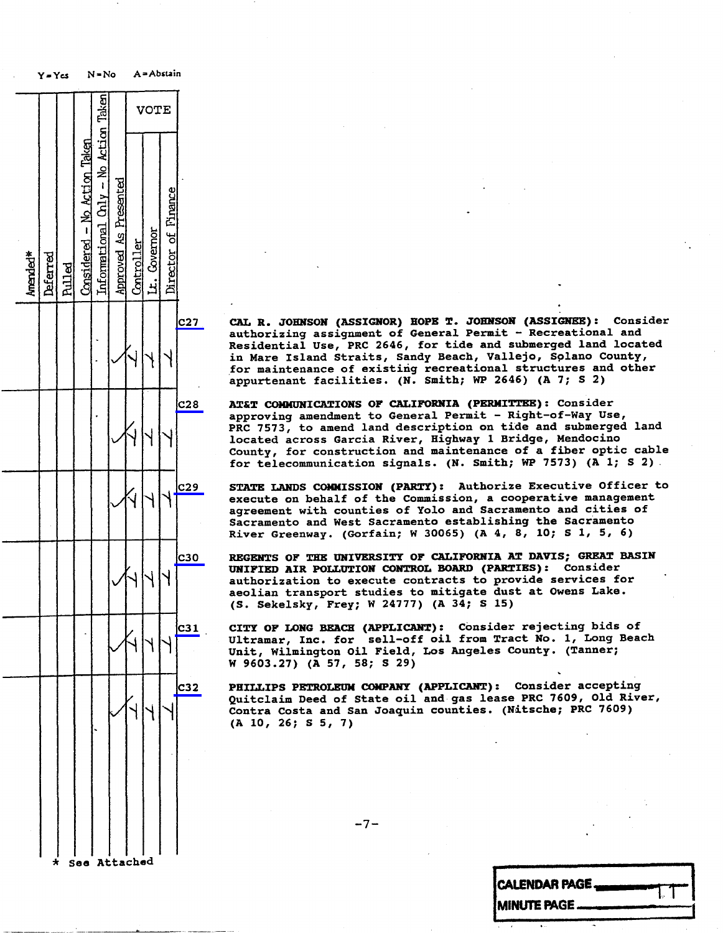|          | 7 = 1 CS |               |                              |                                      |                              |            |              |                     |                 |                                                                           |                   |
|----------|----------|---------------|------------------------------|--------------------------------------|------------------------------|------------|--------------|---------------------|-----------------|---------------------------------------------------------------------------|-------------------|
|          |          |               |                              |                                      |                              |            | VOTE         |                     |                 |                                                                           |                   |
| Amended* | Deferred | <b>Pulled</b> | Considered - No Action Taken | Informational Cnly - No Action Taken | <b>Approved As Presented</b> | Controller | Lt. Covernor | Director of Finance |                 |                                                                           |                   |
|          |          |               |                              |                                      |                              |            |              |                     | <b>C27</b>      | CAL R.<br>authoriz<br>Resident<br>in Mare<br>for main<br>appurten         | J                 |
|          |          |               |                              |                                      |                              |            |              |                     | $cz_{8}$        | AT&T COM<br>approving<br>PRC 7573<br>located<br>County,<br>for<br>tele    |                   |
|          |          |               |                              |                                      |                              |            |              |                     | C <sub>29</sub> | <b>STATE LA</b><br>execute<br><b>agreemen</b><br><b>Sacramen</b><br>River | $G_{\mathcal{K}}$ |
|          |          |               |                              |                                      |                              |            |              |                     | <b>c30</b>      | <b>REGENTS</b><br>UNIFIED<br>authoriz<br>aeolian<br>(S. Seke              |                   |
|          |          |               |                              |                                      |                              |            |              |                     | C31             | CITY OF 1<br>Ultramar<br>Unit, Wi<br>W 9603.2                             |                   |
|          |          |               |                              |                                      |                              |            |              |                     | c32             | <b>PHILLIPS</b><br>Quitclai<br>Contra Co<br>(A 10, 20)                    |                   |
|          | $\star$  |               | See Attached                 |                                      |                              |            |              |                     |                 |                                                                           |                   |
|          |          |               |                              |                                      |                              |            |              |                     |                 |                                                                           |                   |

CAL R. JOHNSON (ASSIGNOR) HOPE T. JOHNSON (ASSIGNEE): Consider<br>authorizing assignment of General Permit - Recreational and Residential Use, PRC 2646, for tide and submerged land located Residential Use, PRC 2046, for tide and submerged<br>la Maure Islamd Churite, Cardy Boash, Holloic, Sola in Mare Island Straits, Sandy Beach, Vallejo, S for maintenance of existing recreational structures and other appurtenant facilities. (N. Smith; NP 2040) (

AT&T COMMUNICATIONS OF CALIFORNIA (PERMITTEE): Consider approving amendment to General Permit - Right-of-Way Use, approving amendment to General Permit - Right-of-PRC 7573, to amend land description on tide and submerged lands located across Garcia River, Highway 1 Bridge, Mendocino<br>County, for construction and maintenance of a fiber optic cable County, for construction and maintenance of a fiber<br>for telecommunication cignals (N. Smith: WD 7573) ( for telecommunication signals. (N. Smith; WP 7573)

STATE LANDS COMMISSION (PARTY): Authorize Executive Officer to execute on behalf of the Commission, a cooperative management agreement with counties of Yolo and Sacramento and cities of Sacramento and West Sacramento establishing the Sacramento Sacramento and West Sacramento establishing River Greenway. (Gorfain; W 30065) (A 4, 6, 1

REGENTS OF THE UNIVERSITY OF CALIFORNIA AT DAVIS; GREAT BASIN<br>UNIFIED AIR POLLUTION CONTROL BOARD (PARTIES): Consider authorization to execute contracts to provide services for authorization to execute contracts to provide aeolian transport studies to mitigate dust at  $(9-6)$  at Owens Lake. S. Sekelsky, Frey; W 24777) (A 34; \$ 15)

CITY OF LONG BEACH (APPLICANT): Consider rejecting bids of<br>Ultramar, Inc. for sell-off oil from Tract No. 1, Long Beach Ultramar, Inc. for sell-off oil from Tract No.<br>1, Long Beach and Beach Inc. Incolas County Unit, Wilmington Oil Field, Los Angeles County W 9603.27) (A 57, 58; S 29)

C32 PHILLIPS PETROLEUM COMPANY (APPLICANT): CONSIDER accepting<br>C32 Phillips Petroleum Company (Applicant): Consider accepting Quitclaim Deed of State oil and gas lease PRC 760 Contra Costa and San Joaquin counties. (Nitsche; PRC 7609) (A 10, 26; S 5, 7)

 $-7-$ 

| CALENDAR PAGE |  |
|---------------|--|
| MINUTE PAGE   |  |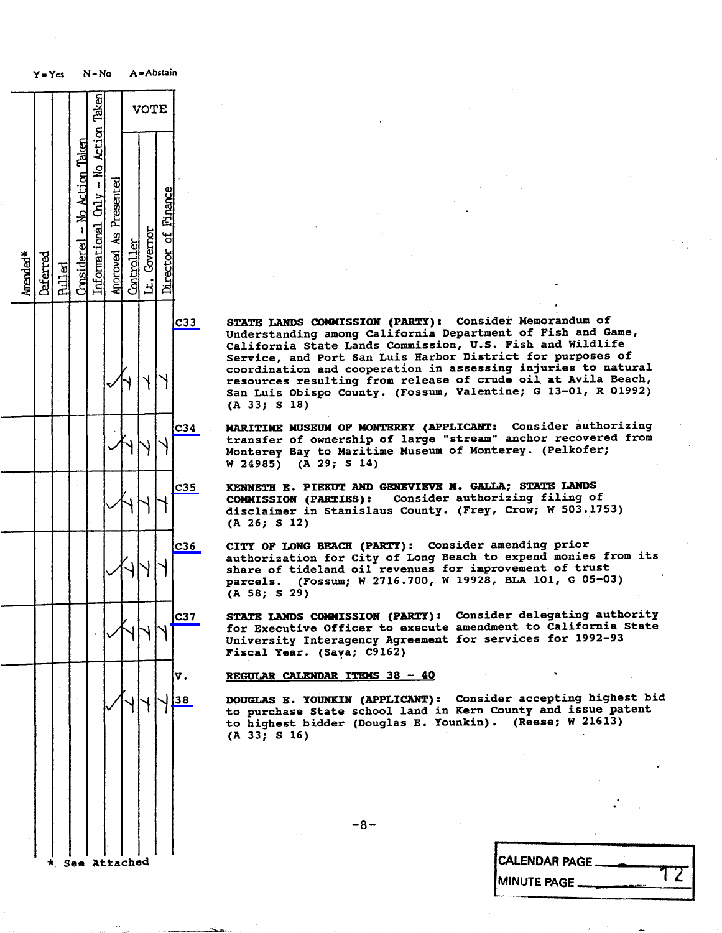

C33 STATE LANDS COMMISSION (PARTY): CONSider Memorandum of<br>Indonetanding among California Department of Fish and C Understanding among California Department of Fish and California State Lands Commission, U.S. Fish and Wildlife Service, and Port San Luis Harbor District for purposes of<br>coordination and cooperation in assessing injuries to natural resources resulting from release of crude oil at Avila Beach, resources resulting from release of crude oil San Luis Obispo County. (Fossum, Valentine; G 13-01, R<br>(3.22, C 19) (A 33; S 18)

C34 MARITIME MUSEUM OF MONTEREY (APPLICANT: Consider authorizing transfer of ownership of large "stream" anchor recovered from Monterey Bay to Maritime Museum of Monterey. (Pelkofer;<br>W 24985) (A 29; S 14)  $(A 29; S 14)$ 

C35 KENNETH E. PIEKUT AND GENEVIEVE M. GALLA; STATE LANDS<br>COMMISSION (PARTIES): Consider authorizing filing of disclaimer in Stanislaus County. (Frey, Crow; W 503.1753) (A 26; \$ 12)

C36 CITY OF LONG BEACH (PARTY): Consider amending prior<br>continued in the City of Long Boach to expend moni authorization for City of Long Beach to expend monies<br>shape of tideland oil revenues for improvement of the share of tideland oil revenues for improvement of trust<br>parcels. (Fossum; W 2716.700, W 19928, BLA 101, G 05-0 parcels. (Fossum; W 2716. 700, W 19928, BLA 101, G 05-03) (A 58; S 29)

C37 STATE LANDS COMMISSION (PARTY): Consider delegating authority<br>for Executive Officer to execute amendment to California State for Executive Officer to execute amendment to California State State State State State State State State State University Interagency Agreement for services for 1:<br>Figgs) Year (Sawa) C9162) Fiscal Year. (Sava; C9162)

REGULAR CALENDAR ITEMS 38 - 40

DOUGLAS E. YOUNKIN (APPLICANT) : Consider accepting highest bid to purchase State school land in Kern County and issue patent to highest bidder (Douglas E. Younkin) . (Reese; W 21613) (A 33; S 16)

 $-8-$ 

| CALENDAR PAGE. |  |
|----------------|--|
| MINUTE PAGE _  |  |
|                |  |